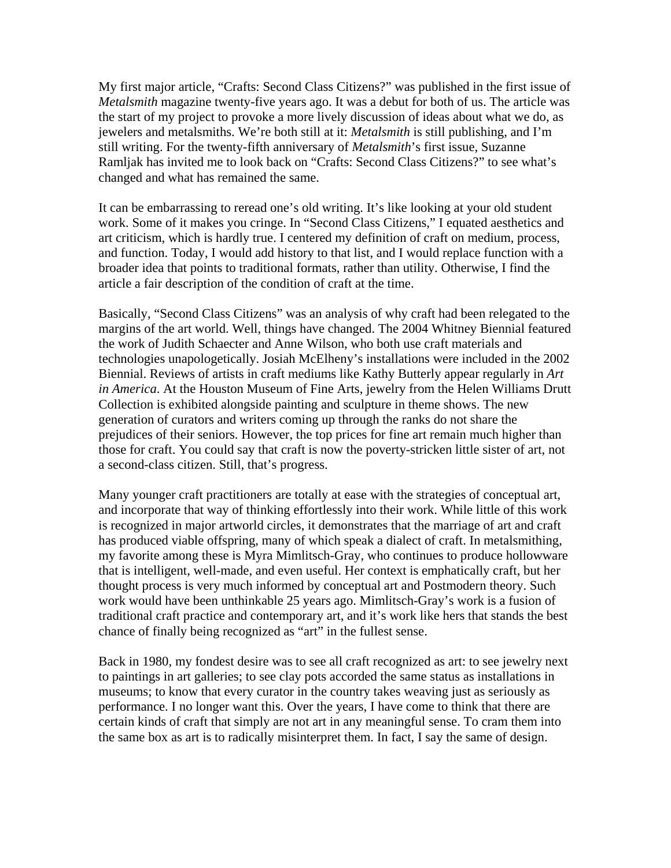My first major article, "Crafts: Second Class Citizens?" was published in the first issue of *Metalsmith* magazine twenty-five years ago. It was a debut for both of us. The article was the start of my project to provoke a more lively discussion of ideas about what we do, as jewelers and metalsmiths. We're both still at it: *Metalsmith* is still publishing, and I'm still writing. For the twenty-fifth anniversary of *Metalsmith*'s first issue, Suzanne Ramljak has invited me to look back on "Crafts: Second Class Citizens?" to see what's changed and what has remained the same.

It can be embarrassing to reread one's old writing. It's like looking at your old student work. Some of it makes you cringe. In "Second Class Citizens," I equated aesthetics and art criticism, which is hardly true. I centered my definition of craft on medium, process, and function. Today, I would add history to that list, and I would replace function with a broader idea that points to traditional formats, rather than utility. Otherwise, I find the article a fair description of the condition of craft at the time.

Basically, "Second Class Citizens" was an analysis of why craft had been relegated to the margins of the art world. Well, things have changed. The 2004 Whitney Biennial featured the work of Judith Schaecter and Anne Wilson, who both use craft materials and technologies unapologetically. Josiah McElheny's installations were included in the 2002 Biennial. Reviews of artists in craft mediums like Kathy Butterly appear regularly in *Art in America*. At the Houston Museum of Fine Arts, jewelry from the Helen Williams Drutt Collection is exhibited alongside painting and sculpture in theme shows. The new generation of curators and writers coming up through the ranks do not share the prejudices of their seniors. However, the top prices for fine art remain much higher than those for craft. You could say that craft is now the poverty-stricken little sister of art, not a second-class citizen. Still, that's progress.

Many younger craft practitioners are totally at ease with the strategies of conceptual art, and incorporate that way of thinking effortlessly into their work. While little of this work is recognized in major artworld circles, it demonstrates that the marriage of art and craft has produced viable offspring, many of which speak a dialect of craft. In metalsmithing, my favorite among these is Myra Mimlitsch-Gray, who continues to produce hollowware that is intelligent, well-made, and even useful. Her context is emphatically craft, but her thought process is very much informed by conceptual art and Postmodern theory. Such work would have been unthinkable 25 years ago. Mimlitsch-Gray's work is a fusion of traditional craft practice and contemporary art, and it's work like hers that stands the best chance of finally being recognized as "art" in the fullest sense.

Back in 1980, my fondest desire was to see all craft recognized as art: to see jewelry next to paintings in art galleries; to see clay pots accorded the same status as installations in museums; to know that every curator in the country takes weaving just as seriously as performance. I no longer want this. Over the years, I have come to think that there are certain kinds of craft that simply are not art in any meaningful sense. To cram them into the same box as art is to radically misinterpret them. In fact, I say the same of design.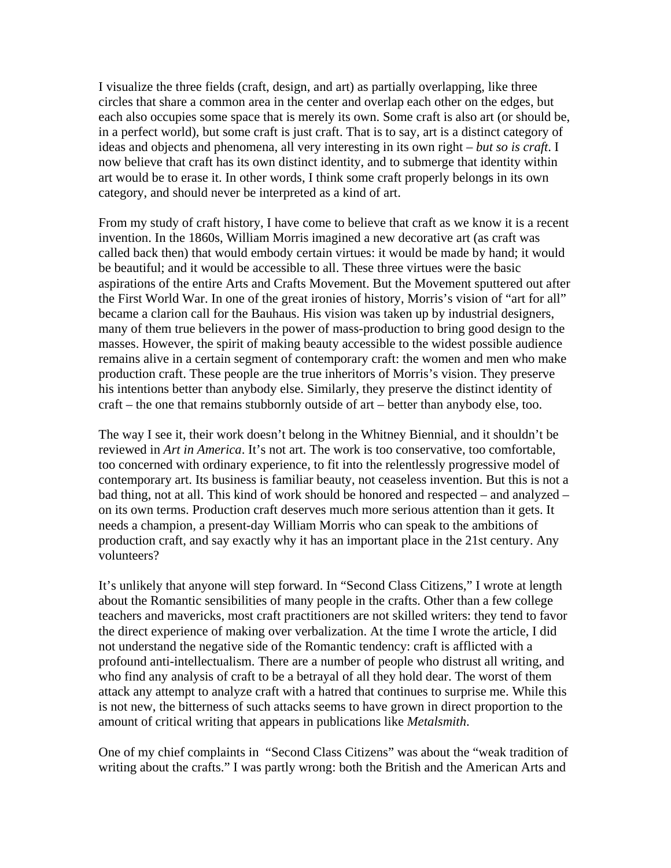I visualize the three fields (craft, design, and art) as partially overlapping, like three circles that share a common area in the center and overlap each other on the edges, but each also occupies some space that is merely its own. Some craft is also art (or should be, in a perfect world), but some craft is just craft. That is to say, art is a distinct category of ideas and objects and phenomena, all very interesting in its own right – *but so is craft*. I now believe that craft has its own distinct identity, and to submerge that identity within art would be to erase it. In other words, I think some craft properly belongs in its own category, and should never be interpreted as a kind of art.

From my study of craft history, I have come to believe that craft as we know it is a recent invention. In the 1860s, William Morris imagined a new decorative art (as craft was called back then) that would embody certain virtues: it would be made by hand; it would be beautiful; and it would be accessible to all. These three virtues were the basic aspirations of the entire Arts and Crafts Movement. But the Movement sputtered out after the First World War. In one of the great ironies of history, Morris's vision of "art for all" became a clarion call for the Bauhaus. His vision was taken up by industrial designers, many of them true believers in the power of mass-production to bring good design to the masses. However, the spirit of making beauty accessible to the widest possible audience remains alive in a certain segment of contemporary craft: the women and men who make production craft. These people are the true inheritors of Morris's vision. They preserve his intentions better than anybody else. Similarly, they preserve the distinct identity of craft – the one that remains stubbornly outside of art – better than anybody else, too.

The way I see it, their work doesn't belong in the Whitney Biennial, and it shouldn't be reviewed in *Art in America*. It's not art. The work is too conservative, too comfortable, too concerned with ordinary experience, to fit into the relentlessly progressive model of contemporary art. Its business is familiar beauty, not ceaseless invention. But this is not a bad thing, not at all. This kind of work should be honored and respected – and analyzed – on its own terms. Production craft deserves much more serious attention than it gets. It needs a champion, a present-day William Morris who can speak to the ambitions of production craft, and say exactly why it has an important place in the 21st century. Any volunteers?

It's unlikely that anyone will step forward. In "Second Class Citizens," I wrote at length about the Romantic sensibilities of many people in the crafts. Other than a few college teachers and mavericks, most craft practitioners are not skilled writers: they tend to favor the direct experience of making over verbalization. At the time I wrote the article, I did not understand the negative side of the Romantic tendency: craft is afflicted with a profound anti-intellectualism. There are a number of people who distrust all writing, and who find any analysis of craft to be a betrayal of all they hold dear. The worst of them attack any attempt to analyze craft with a hatred that continues to surprise me. While this is not new, the bitterness of such attacks seems to have grown in direct proportion to the amount of critical writing that appears in publications like *Metalsmith*.

One of my chief complaints in "Second Class Citizens" was about the "weak tradition of writing about the crafts." I was partly wrong: both the British and the American Arts and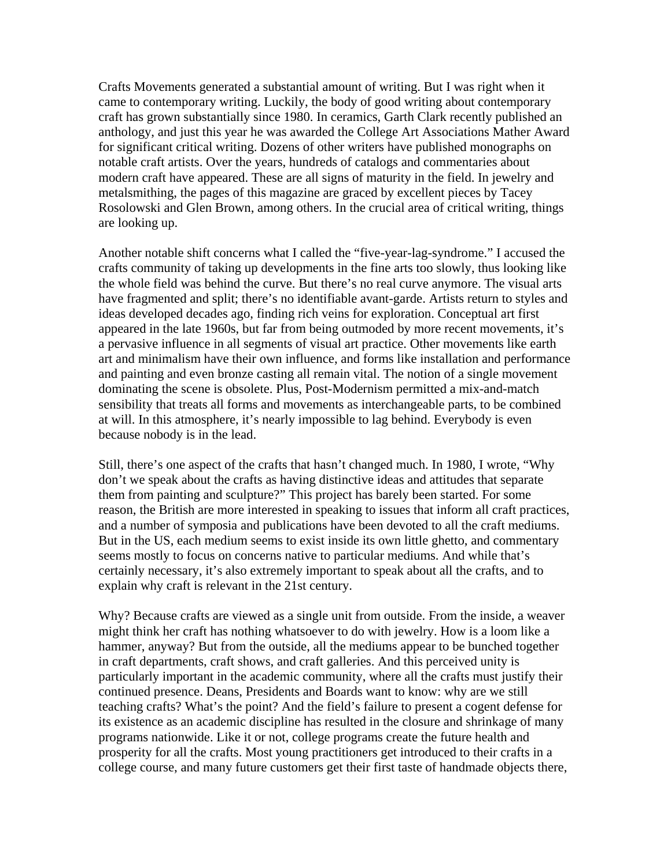Crafts Movements generated a substantial amount of writing. But I was right when it came to contemporary writing. Luckily, the body of good writing about contemporary craft has grown substantially since 1980. In ceramics, Garth Clark recently published an anthology, and just this year he was awarded the College Art Associations Mather Award for significant critical writing. Dozens of other writers have published monographs on notable craft artists. Over the years, hundreds of catalogs and commentaries about modern craft have appeared. These are all signs of maturity in the field. In jewelry and metalsmithing, the pages of this magazine are graced by excellent pieces by Tacey Rosolowski and Glen Brown, among others. In the crucial area of critical writing, things are looking up.

Another notable shift concerns what I called the "five-year-lag-syndrome." I accused the crafts community of taking up developments in the fine arts too slowly, thus looking like the whole field was behind the curve. But there's no real curve anymore. The visual arts have fragmented and split; there's no identifiable avant-garde. Artists return to styles and ideas developed decades ago, finding rich veins for exploration. Conceptual art first appeared in the late 1960s, but far from being outmoded by more recent movements, it's a pervasive influence in all segments of visual art practice. Other movements like earth art and minimalism have their own influence, and forms like installation and performance and painting and even bronze casting all remain vital. The notion of a single movement dominating the scene is obsolete. Plus, Post-Modernism permitted a mix-and-match sensibility that treats all forms and movements as interchangeable parts, to be combined at will. In this atmosphere, it's nearly impossible to lag behind. Everybody is even because nobody is in the lead.

Still, there's one aspect of the crafts that hasn't changed much. In 1980, I wrote, "Why don't we speak about the crafts as having distinctive ideas and attitudes that separate them from painting and sculpture?" This project has barely been started. For some reason, the British are more interested in speaking to issues that inform all craft practices, and a number of symposia and publications have been devoted to all the craft mediums. But in the US, each medium seems to exist inside its own little ghetto, and commentary seems mostly to focus on concerns native to particular mediums. And while that's certainly necessary, it's also extremely important to speak about all the crafts, and to explain why craft is relevant in the 21st century.

Why? Because crafts are viewed as a single unit from outside. From the inside, a weaver might think her craft has nothing whatsoever to do with jewelry. How is a loom like a hammer, anyway? But from the outside, all the mediums appear to be bunched together in craft departments, craft shows, and craft galleries. And this perceived unity is particularly important in the academic community, where all the crafts must justify their continued presence. Deans, Presidents and Boards want to know: why are we still teaching crafts? What's the point? And the field's failure to present a cogent defense for its existence as an academic discipline has resulted in the closure and shrinkage of many programs nationwide. Like it or not, college programs create the future health and prosperity for all the crafts. Most young practitioners get introduced to their crafts in a college course, and many future customers get their first taste of handmade objects there,